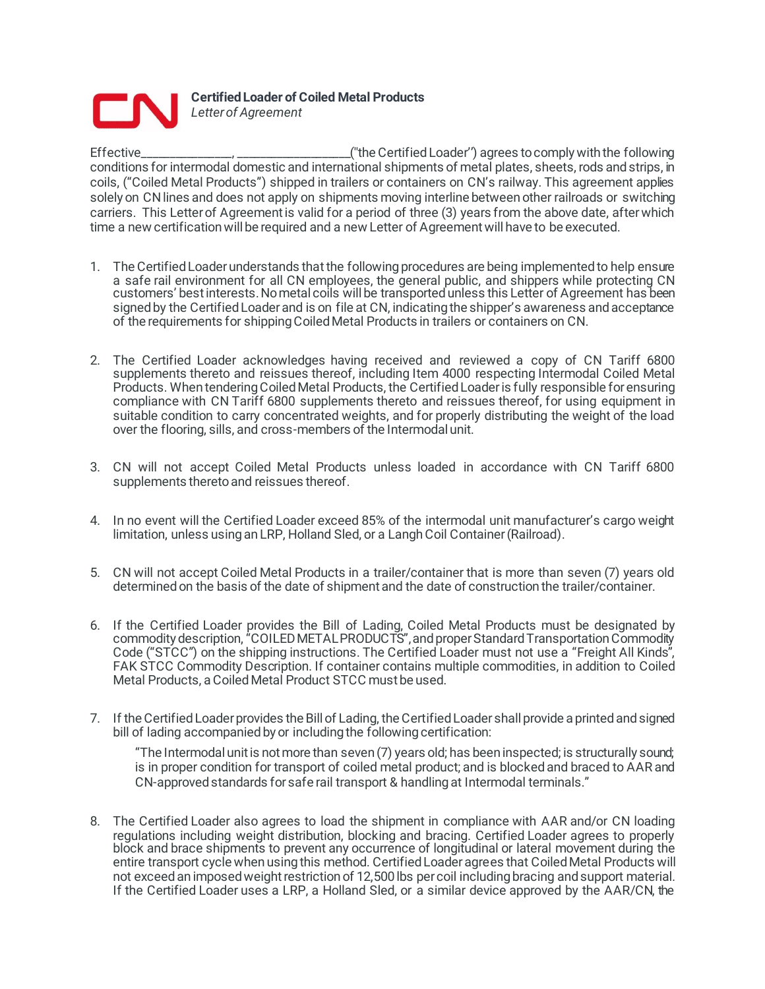

**Certified Loader of Coiled Metal Products** *Letter of Agreement*

Effective\_\_\_\_\_\_\_\_\_\_\_\_\_\_\_\_, \_\_\_\_\_\_\_\_\_\_\_\_\_\_\_\_\_\_\_\_(''the Certified Loader'') agrees to comply with the following conditions for intermodal domestic and international shipments of metal plates, sheets, rods and strips, in coils, ("Coiled Metal Products") shipped in trailers or containers on CN's railway. This agreement applies solely on CN lines and does not apply on shipments moving interline between other railroads or switching carriers. This Letter of Agreement is valid for a period of three (3) years from the above date, after which time a new certification will be required and a new Letter of Agreement will have to be executed.

- 1. The Certified Loader understands that the following procedures are being implemented to help ensure a safe rail environment for all CN employees, the general public, and shippers while protecting CN customers' best interests. No metal coils will be transported unless this Letter of Agreement has been signed by the Certified Loader and is on file at CN, indicating the shipper's awareness and acceptance of the requirements for shipping Coiled Metal Products in trailers or containers on CN.
- 2. The Certified Loader acknowledges having received and reviewed a copy of CN Tariff 6800 supplements thereto and reissues thereof, including Item 4000 respecting Intermodal Coiled Metal Products. When tendering Coiled Metal Products, the Certified Loader is fully responsible for ensuring compliance with CN Tariff 6800 supplements thereto and reissues thereof, for using equipment in suitable condition to carry concentrated weights, and for properly distributing the weight of the load over the flooring, sills, and cross-members of the Intermodal unit.
- 3. CN will not accept Coiled Metal Products unless loaded in accordance with CN Tariff 6800 supplements thereto and reissues thereof.
- 4. In no event will the Certified Loader exceed 85% of the intermodal unit manufacturer's cargo weight limitation, unless using an LRP, Holland Sled, or a Langh Coil Container (Railroad).
- 5. CN will not accept Coiled Metal Products in a trailer/container that is more than seven (7) years old determined on the basis of the date of shipment and the date of construction the trailer/container.
- 6. If the Certified Loader provides the Bill of Lading, Coiled Metal Products must be designated by commodity description, "COILED METAL PRODUCTS", and proper Standard Transportation Commodity Code ("STCC") on the shipping instructions. The Certified Loader must not use a "Freight All Kinds", FAK STCC Commodity Description. If container contains multiple commodities, in addition to Coiled Metal Products, a Coiled Metal Product STCC must be used.
- 7. If the Certified Loader provides the Bill of Lading, the Certified Loader shall provide a printed and signed bill of lading accompanied by or including the following certification:

"The Intermodal unit is not more than seven (7) years old; has been inspected; is structurally sound; is in proper condition for transport of coiled metal product; and is blocked and braced to AAR and CN-approved standards for safe rail transport & handling at Intermodal terminals."

8. The Certified Loader also agrees to load the shipment in compliance with AAR and/or CN loading regulations including weight distribution, blocking and bracing. Certified Loader agrees to properly block and brace shipments to prevent any occurrence of longitudinal or lateral movement during the entire transport cycle when using this method. Certified Loader agrees that Coiled Metal Products will not exceed an imposed weight restriction of 12,500 lbs per coil including bracing and support material. If the Certified Loader uses a LRP, a Holland Sled, or a similar device approved by the AAR/CN, the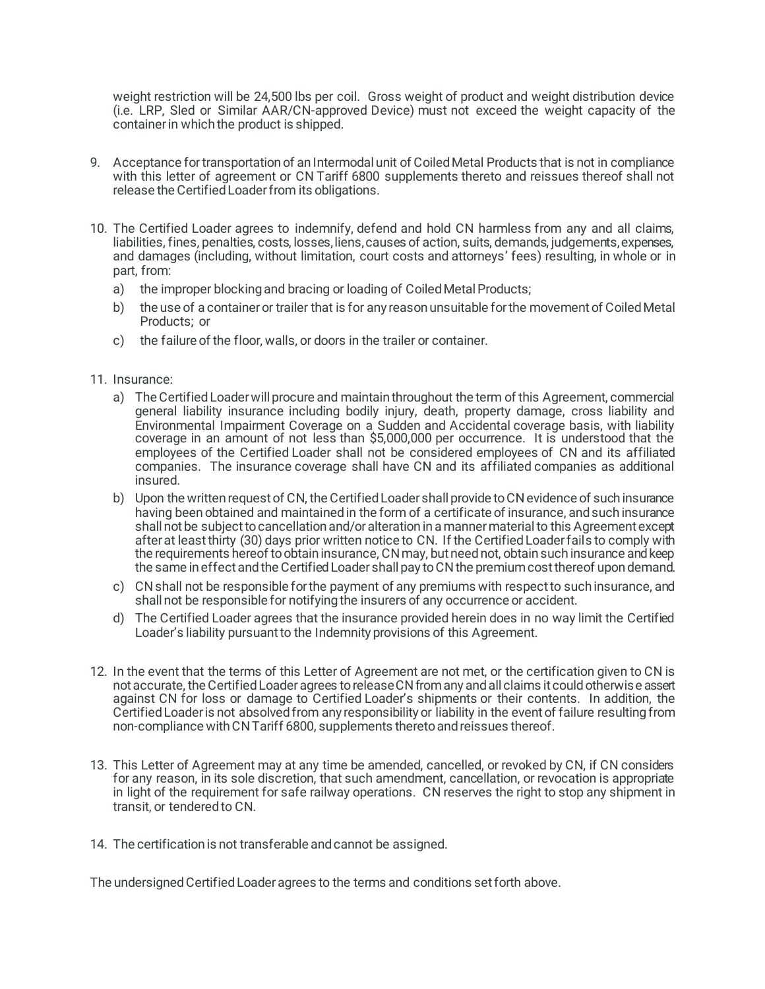weight restriction will be 24,500 lbs per coil. Gross weight of product and weight distribution device (i.e. LRP, Sled or Similar AAR/CN-approved Device) must not exceed the weight capacity of the container in which the product is shipped.

- 9. Acceptance for transportation of an Intermodal unit of Coiled Metal Products that is not in compliance with this letter of agreement or CN Tariff 6800 supplements thereto and reissues thereof shall not release the Certified Loader from its obligations.
- 10. The Certified Loader agrees to indemnify, defend and hold CN harmless from any and all claims, liabilities, fines, penalties, costs, losses, liens, causes of action, suits, demands, judgements, expenses, and damages (including, without limitation, court costs and attorneys' fees) resulting, in whole or in part, from:
	- a) the improper blocking and bracing or loading of Coiled Metal Products;
	- b) the use of a container or trailer that is for any reason unsuitable for the movement of Coiled Metal Products; or
	- c) the failure of the floor, walls, or doors in the trailer or container.
- 11. Insurance:
	- a) The Certified Loader will procure and maintain throughout the term of this Agreement, commercial general liability insurance including bodily injury, death, property damage, cross liability and Environmental Impairment Coverage on a Sudden and Accidental coverage basis, with liability coverage in an amount of not less than \$5,000,000 per occurrence. It is understood that the employees of the Certified Loader shall not be considered employees of CN and its affiliated companies. The insurance coverage shall have CN and its affiliated companies as additional insured.
	- b) Upon the written request of CN, the Certified Loader shall provide to CN evidence of such insurance having been obtained and maintained in the form of a certificate of insurance, and such insurance shall not be subject to cancellation and/or alteration in a manner material to this Agreement except after at least thirty (30) days prior written notice to CN. If the Certified Loader fails to comply with the requirements hereof to obtain insurance, CN may, but need not, obtain such insurance and keep the same in effect and the Certified Loader shall pay to CN the premium cost thereof upon demand.
	- c) CN shall not be responsible for the payment of any premiums with respect to such insurance, and shall not be responsible for notifying the insurers of any occurrence or accident.
	- d) The Certified Loader agrees that the insurance provided herein does in no way limit the Certified Loader's liability pursuant to the Indemnity provisions of this Agreement.
- 12. In the event that the terms of this Letter of Agreement are not met, or the certification given to CN is not accurate, the Certified Loader agrees to release CN from any and all claims it could otherwise assert against CN for loss or damage to Certified Loader's shipments or their contents. In addition, the Certified Loader is not absolved from any responsibility or liability in the event of failure resulting from non-compliance with CN Tariff 6800, supplements thereto and reissues thereof.
- 13. This Letter of Agreement may at any time be amended, cancelled, or revoked by CN, if CN considers for any reason, in its sole discretion, that such amendment, cancellation, or revocation is appropriate in light of the requirement for safe railway operations. CN reserves the right to stop any shipment in transit, or tendered to CN.
- 14. The certification is not transferable and cannot be assigned.

The undersigned Certified Loader agrees to the terms and conditions set forth above.